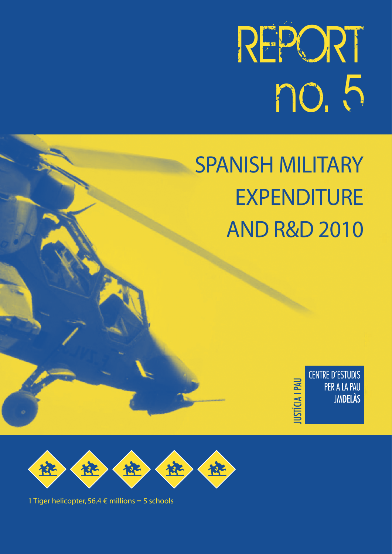# REPORT no. 5

# Spanish military **EXPENDITURE** and R&D 2010





1 Tiger helicopter, 56.4  $\epsilon$  millions = 5 schools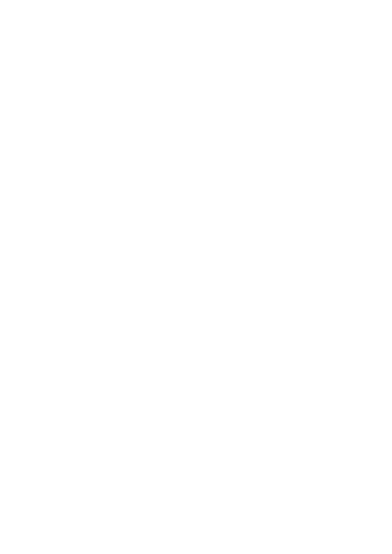# REPORT no. 5

# Spanish military **EXPENDITURE** and R&D 2010

**Pere Ortega & Xavier Bohigas**

Centre d'Estudis per la Pau J.M. Delàs · Justícia i Pau Barcelona, December 2009

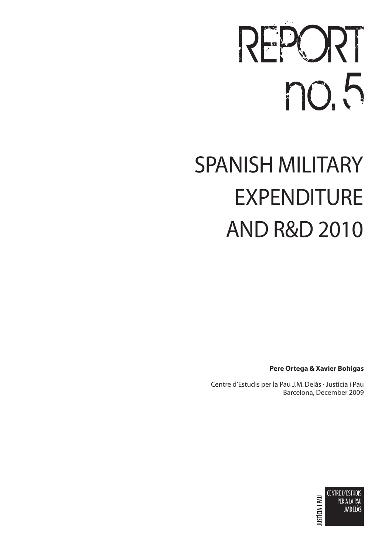

## Spain's 2010 miltary spending

**Pere Ortega ·** Centre d'Estudis per la Pau J.M. Delàs

**The military spending is almost double the Ministry of Defence budget**

The Spanish Congress of Deputies has passed the 2010 budget. The analysis we at the Delas Centre do every year of the real military spending, which includes not only the Ministry of Defence's budget but all appropriations spread over other ministries if they are clearly military<sup>1</sup> as is the case with military who have gone to the reserves or are pensioners on Social Security; insurance for military paid by other

ministries; credits for military R&D from the Ministry of Industry; the Civil Guard, a paramilitary corps subject to military discipline under the Ministry of the Interior: contributions to disarmament agreements and military bodies such as NATO which come under the Ministry of Foreign Affairs.

In addition, the proportional share of government debt attributable to Defence. If the state has to go into debt in order to maintain the armed forces and to acquire new weaponry, it only makes sense to assign the interest on that debt to total military spending. This is justified precisely on account of the particular importance of military investments in weapons and military infrastructure as well as military R&D for new weapons.

Taking all these military categories in the 2010 budget (Table 1) into account, we see that the military spending is almost double the Ministry of Defence budget. (In Table 9 of the Appendix one can consult the trends in military spending over the last ten years.)

#### **Military spending indicators for 2010**

In these times of economic crisis Spain is going through, the Government has proposed budgets that are austere in some aspects. It has pointed out that the Ministry of Defence's budget is 6.2% lower than that of the previous year. But

1. This analysis of military spending adopts the criteria proposed by the Stockholm International Peace Research Institute (SIPRI), which analyses military issues around the world. The criteria are: spending by the armed forces; spending on civilian or military staff under the Ministry of Defence; spending for the running of military, including space, programmes; pensions and social security for civilian and military staff of the Ministry of Defence; military aid and participation in military bodies or missions abroad.

**Table 1. Spanish initial military budget (2009-2010)** (current € billion)

| <b>Concepts</b>                                                         | 2009  | 2010  |
|-------------------------------------------------------------------------|-------|-------|
| <b>Department of Defence</b>                                            | 8.24  | 7.69  |
| <b>Autonomous Organisms</b><br>of Department of Defence                 | 1.23  | 1.22  |
| National Intelligence Centre                                            | 0.26  | 0.24  |
| <b>Total Defence</b>                                                    | 9.73  | 9.15  |
| Retired soldiers                                                        | 3.3   | 3.33  |
| <b>ISFAS (Others Departments)</b>                                       | 0.60  | 0.62  |
| Guardia Civil<br>(Paramilitary/Home Office Department)                  | 2.94  | 2.97  |
| Military R&D loans(Ministry of Industry)                                | 1.15  | 0.95  |
| International military organizations<br>(Department of Foreign Affairs) | 0.06  | 0.01  |
| <b>Total Military (NATO/SIPRI criteria)</b>                             | 17.78 | 17.04 |
| Public debt interests                                                   | 0.83  | 1.13  |
| <b>Total military expenditure</b>                                       | 18.61 | 18.16 |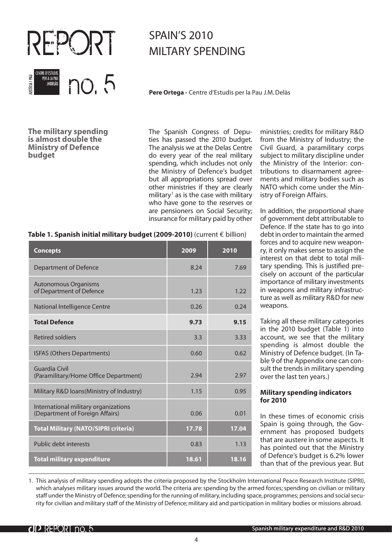this relates only to that ministry itself. However, if one looks at all military spending, the reduction is much less, only 2.4%. The difference can be explained as follows: the crisis has significantly reduced government revenue and generated a huge public deficit, which has caused the government to go into debt. As indebtedness will be greater next year, the interest the government pays will be too. This means that in 2010 interest on the debt generated by the Ministry of Defence will be far higher than in 2009 and will result in greater total military spending.

In Table 2, we show the principal indicators of military spending for

**Table 2. 2009/2010 main military expenditure indicators**

2009 and 2010. As the government itself indicates, all show reductions in real military spending in 2010 in comparison with the preceding year.

#### **Settlement of the annual budget**

The great political debate surrounding the budget occurs when it is presented to the Congress of Deputies for passage. However, this was not the case with the settlement at the end of the fiscal year. It is in fact quite important as it is the settlement which shows that many of the original terms were not met and that funds were diverted for other expenditures. This happens on a regular basis with the

**Reductions in real military spending in 2010 in comparison with the preceding year**

| <b>Concepts</b>                                | 2009             | 2010              |
|------------------------------------------------|------------------|-------------------|
| Military expenditure per day                   | € 50.98 millions | $£49.75$ millions |
| Military expenditure per inhabitant            | €408             | €395              |
| Military expenditure/GDP                       | 1.77%            | 1.73%             |
| Military expenditure/total budget              | 5.11%            | 4.70%             |
| Variation on military expenditure <sup>1</sup> | $-1.61%$         | $-2.41%$          |
| Military investments                           | € 3.16 billions  | € 2.41 billions   |
| Military investments/total investments         | 12.73%           | 10.06%            |
| <b>Variation on military investments</b>       | $-16.36%$        | $-23.51%$         |
| Military R&D                                   | €1.46 billions   | € 1.18 billions   |
| Military R&D/Total R&D                         | 15.15%           | 12.96%            |
| <b>Variation on military R&amp;D</b>           | $-12.13%$        | $-19.11%$         |

1. Fluctuations are calculated taking the previous year.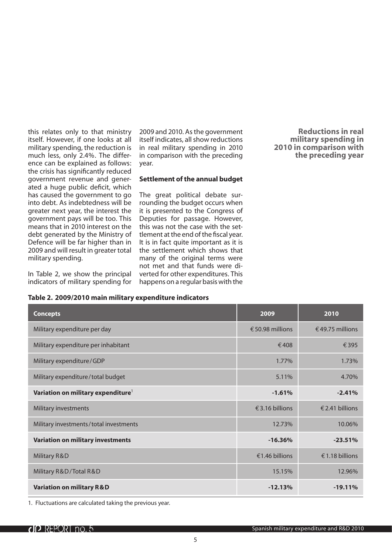**In the case of the Ministry of Defence this may represent a strategy aimed at reducing the increase in initial military spending**

Ministry of Defence which often receives new injections of resources. In the settlement for 2008, we find an increase of  $\epsilon$  1.6 billion (15.8%) over the initial Ministry of Defence budget (see Table 3).

|  |  | Table 3. Ministry of Defence settled budget (Current € billion) |  |  |  |
|--|--|-----------------------------------------------------------------|--|--|--|
|--|--|-----------------------------------------------------------------|--|--|--|

| <b>Concepts</b>                                 | 2008  | 2009 <sup>1</sup> |
|-------------------------------------------------|-------|-------------------|
| <b>Department of Defence</b>                    | 9.81  | 9.35              |
| Department<br>of Defence-Autonomous departments | 1.61  | 1.28              |
| National Intelligence Centre <sup>2</sup>       | 0.26  | 0.26              |
| Total Department of Defence (expenditure)       | 11.69 | 10.89             |
| <b>Total Department of Defence (budget)</b>     | 10.09 | 9.73              |
| <b>Difference</b>                               | 1.6   | 1.16              |
| <b>Variation</b>                                | 15.8% | 11.9%             |

1. Provisional settlement (30th of September 2009).

2. The NIC does not give the final expenditure claiming that it is under the Official Secrets law.

#### **Table 4. Initial budget versus settled budget (2008/2009)** (Current € billion)

| <b>Concepts</b>                          | 2008  | $2009^1$ |
|------------------------------------------|-------|----------|
| Current expenditure (Initial budget)     | 1.58  | 1.58     |
| Current expenditure (Settled budget)     | 2.40  | 2.37     |
| <b>Difference</b>                        | 0.82  | 0.8      |
| Variation on current expenditure         | 52.3% | 50.4%    |
| Military investments (Initial budget)    | 2.46  | 2.01     |
| Military investments (Settled budget)    | 2.71  | 2.18     |
| Difference                               | 0.25  | 0.17     |
| <b>Variation on military investments</b> | 10.3% | 8.6%     |
| Military personnel (Initial budget)      | 5.21  | 5.33     |
| Military personnel (Settled budget)      | 5.51  | 5.77     |
| Difference                               | 0.31  | 0.44     |
| <b>Variation on military personnel</b>   | 5.9%  | 8.2%     |

1. Provisional settlement (30th of September 2009).

In 2009, the same thing occurred. When the initial budget was passed, there was an announcement that Defense spending had decreased by 3%. As of September 30 of this year, the forecast was not being realised: rather than decreasing, the Defence budget had increased by € 1.15 billion (11.9%), a figure which will continue to increase through December 31. (Table 10 and Graphs 2 and 3 in the Appendix show the settlement of the Defence budgets for the last 10 years.)

In the case of the Ministry of Defence this may represent a strategy aimed at reducing the increase in initial military spending, not too well thought of by a public which rejects military spending as inefficient, and in the process avoiding a debate on the excessive increase in defense funding. For example, spending abroad by the armed forces budgeted at  $\epsilon$  14.36 million for 2009 had in fact exceeded €660 million as of September 30 (Table 12 of the Appendix shows spending abroad by Spain's military forces).

To cover these budget increases, the government has a so-called contingency fund of €3.7 billion for expenditures by various ministries in 2010.

Claiming a reduction in military spending for 2010 is completely perverse as the underfunded items will in fact later be topped up.

And which items were assigned most funding in 2008 and 2009? Personnel costs, current expenditures for service maintenance and investment (Table 4), items which should be perfectly foreseeable. They were instead raised after the fact, which makes one suspect that the items were intentionally underfunded so there appeared to be a reduction in expenditures by the Ministry of Defence and a debate could be avoided.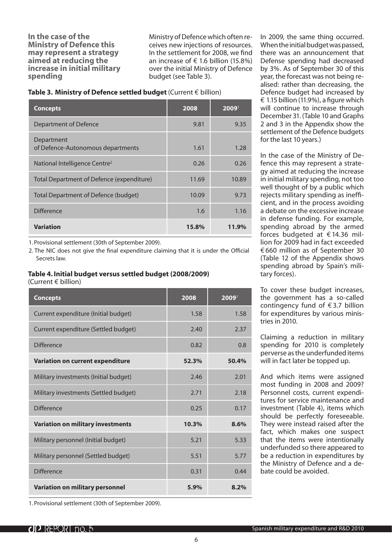#### **Military Investments**

Military investment in the next budget, as in every year's, is a substantial part of military spending. In 2010 it represents 10.06% of the central goverrnment's total investments including all transfer payments for investments by the regions. Military investment include resources set aside for the purchase of arms, construction of the infrastructure and installations. To this we add R&D credits provided by the Ministry of Defence to help military industries develop new military weaponry. The total of military investments is €2.41 billion, which is 23.5% below investments in 2009 (Table 5).

However if we take into account what we said about the settlement of the budget at the end of the year, investments too increased significantly compared to the initial budget. For example this year as of September 30, 2009, there have already been an increase of  $£ 172.5$ million in investments (Table 4).

And what investments are scheduled for 2010? More or less the same ones as in preceding years but with reduced appropriations, which shows that there is no interest in cancelling any of the major military-industrial projects underway, such as the EF-2000 fighter plane, the Leopard tank, the S-80 submarine, etc. But the reductions in appropriations for investment conceal another perversity: putting off payments to military industries merely generates interest due and results in raising the ultimate cost of the weapon.

The only programs that are disappearing from the list (Table 6) are those which were completed this year such as the F-100 frigate, the Lamp helicopter, and the Juan Carlos I LLX strategic projection vessel.

On the other hand, new arms purchases have appeared. In 2009 the bidding was opened for the acquisition of radar and avionics communications (€61.7 million); Lanza radar system with Indra ( $\epsilon$  25 million). MID systems for satellite communications (€17 million), and the bidding for the acquisition of 40 BVR 8 by 8 armed cars of the 300 units foreseen for 2016, which may cost some €1.3 billion. Table 11 in the Appendix shows current arms contracts, which in late 2009 come to €30 billion. And this does not include projects already completed and delivered, which come to some €10 billion.

The only decision not to proceed with the acquisition of materiel was the announcement that the Ministry of Defence would not buy 24 Tomahawk missiles (of the 60 scheduled) from Raytheon in the United States for €60 million.

NATO would like its member countries to dedicate more resources to investment in new weaponry and recommends that the expenditures be balanced with the equal recourses going to investment as

**The total of military investments is € 2.41 billion, which is 23.5% below investments in 2009**

> **Current arms contracts, which in late 2009 come to €30 billion**

**Table 5. Military/Central State + Autonomous Communities Investment** (Current € billion)

| <b>Concepts</b>                           | 2009   | 2010   |
|-------------------------------------------|--------|--------|
| Defence investments                       | 2.01   | 1.46   |
| Military R&D of Department of Industry    | 1.15   | 0.95   |
| Total military investment                 | 3.16   | 2.41   |
| Public and A.C. investments               | 24.8   | 24.01  |
| Military investments / Public investments | 12.73% | 10.06% |

**The only decision not to proceed with the acquisition of materiel was the announcement that the Ministry of Defence would not buy 24 Tomahawk missiles**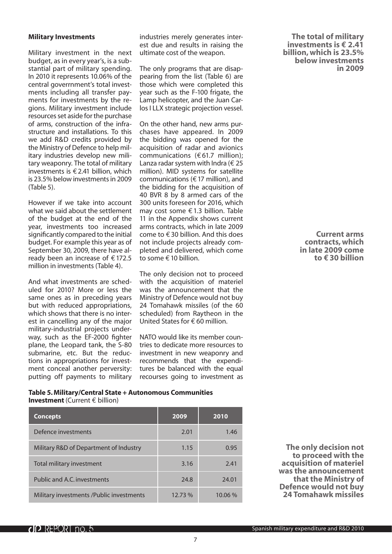#### **Table 6. Main military investment 2009/2010**

(Current € million)

| Arms                                                        | 2009     | 2010     |
|-------------------------------------------------------------|----------|----------|
| EF-2000 fighter                                             | 266.23   | 176.19   |
| A400M transport plane                                       | 1.00     | 1.00     |
| Tiger combat helicopters                                    | 110.45   | 36.27    |
| F-100 frigates                                              | 17.23    |          |
| Leopard armoured vehicles                                   | 154.76   | 36.00    |
| Pizarro armoured vehicles                                   | 70.36    | 2.00     |
| 155/52 mm towed howitzer                                    | 13.57    | 15.14    |
| <b>Taurus missiles</b>                                      | 6.00     | 6.78     |
| Iris-T missiles                                             | 30.27    | 11.06    |
| Llx strategic ship                                          | 2.74     | 0.00     |
| Antitank missile                                            | 6.60     | 14.97    |
| Centauro armoured vehicle                                   | 3.89     | 11.17    |
| Nh-90 transport helicopters                                 | 32.01    | 14.49    |
| Lamps helicopters and aV-8V modernization (navy)            | 9.69     |          |
| Helicoters with multiple uses                               |          | 3.00     |
| BaC, Bam, ICm military transport and disembark ships        | 59.34    | 35.75    |
| F-18, C-15, Cn-235 aeroplanes modernization                 | 33.84    | 21.06    |
| Communications, command systems and electronic war          | 117.82   | 168.78   |
| Artillery material and battleships                          | 39.38    | 30.80    |
| Ammunition and explosives                                   | 10.24    | 31.70    |
| Mistral, Essm, Standard missiles and torpedoes mK- 6 (army) | 24.43    | 19.84    |
| Light weapon                                                | 1.40     |          |
| <b>Strategic coproduction (NATO)</b>                        | 16.25    | 19.09    |
| Infrastructures and facilities                              | 132.04   | 103.95   |
| Other not specified investment                              | 289.12   | 329.63   |
| Defence autonomous organizations Investment                 | 244.79   | 239.21   |
| <b>Total investments</b>                                    | 1,693.45 | 1,327.88 |
| Military R&D of Department of Defence                       | 312.41   | 231.89   |
| Military R&D of Ministry of Industry                        | 1,149.92 | 950.91   |
| <b>Total military investments</b>                           | 3,155.78 | 2,510.68 |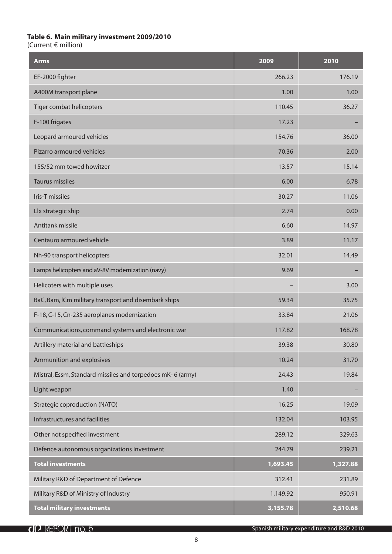goes to expenditures for personnel and the provision of military services. The Ministry of Defence stresses this issue in its reports and sets it out a goal to be reached. However, despite efforts in this direction, year after year personnel costs far exceed investment. The reduction in investments in weaponry in the 2010 budget in fact widens the existing gap. (See Table 14 and Graph 4 in the Appendix.)

#### **Conclusion**

The crisis the world economy is going through has hit Europe particularly hard, which in turn has affected the various countries. They have had to revise their budgets by reducing public spending including military spending. 2010 budgets provide for cuts in military spending of between 10% and 15% in the United Kingdom. France has been talking about cancelling some military projects on account of a lack of credit. Italy is reducing its military budget by a  $\epsilon$  1 billion, and Poland by 20%.2 Thus the Europe of Defence so sought after by EU leaders has been shaken by the economic crisis and and it will take years before it regains a place on the EU's political agenda. Spain has been no exception and according to forecasts for 2010 most of its military items will decline though we shall have to wait to the settlement at the end of the year to see.

One final thought is in order. Military spending in the Spanish budget is seen by the government as a public service. This point of view implies that the armed forces fulfill a necessary role for the Spanish society. As the army's principal role is the armed defence of Spain, we have to wonder just what the dangers and threats the society faces or are directed at Spanish territory to justify such huge spending. If we can find no response that justifies such an effort, one ought to demand of our government a reduction in military spending, particularly given the grave economic situation that country finds itself in, and turn the resources toward social spending that would promote a recovery in consumption by the neediest segments of the population.

**We have to wonder just what the dangers and threats the society faces or are directed at Spanish territory to justify such huge spending**

<sup>2.</sup> Guibert, Nathalie, *Le Monde*, 20 October 2009.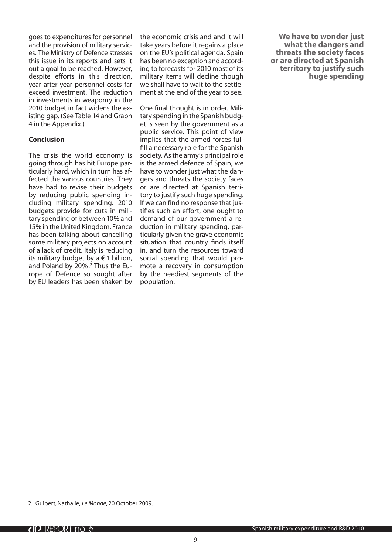### Military R&D in Spain's 2010 Budget

**Xavier Bohigas ·** Centre d'Estudis per la Pau J.M. Delàs



**The Spanish government's spending on military reserach totals €1.18 billion**

Spain's 2010 budget totals €386.36 billion which represents a less than 1% increase over the 2009 budget of €384.52 billion. The Government in its presentation of the budget stressed that public expenditures had been aimed at social policies and that its main feature was austerity. Scientific research for civilian purposes has in fact been greatly reduced. Military research shows a slight reduction, while still greatly exceeding many areas of civilian research such as health care or the environment. Spanish government spending on military research is far greater than the average amount spent on by other countries of similar socioeconomic characteristics.

#### **1. Military R&D**

For research and development by the Armed Forces (Programme 464A) in 2010, the Ministry of Defence has budgeted €231.9 million. But an item in the budget of the Ministry of Industry, Tourism and Commerce also goes to military research (Programme 464B) *Support for technological innovation in the defence sector*, abd comes to €950.91 million. Thus the Spanish government's spending on military reserach totals €1.18 billion.

Indeed the total the government is spending on military research may be even highter. The Ministry of Industry, Tourism and Commerce is spending €364 million on Program 467C (*Technological industrial research and development*) and a large part of this goes to the aerospace sector, which has close links with the military industry.<sup>1</sup> This item, which belonged to the 467C program, reached € 350 millions after the parliamentarian process.

Table 1 provides a breakdown of the Ministry of Defence's research budget. Spending is essentially shared out

<sup>1.</sup> For example, the HISPASAT and HISDESAT industries receive R&D support and carry out aerospace projects of a military nature.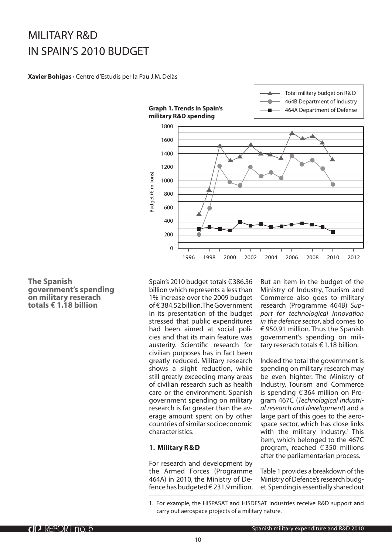between two large military research centers, the El Pardo Channel for Hydrodynamic Experiments (CEHIPAR) and the Esteban Terradas National Institute for Aerospace Technology (INTA).

The purpose of Ministry of Defence's R&D activities is supplying the Armed Forces with arms systems and equipment of a technological level suitable for its future missions and promoting Spain's industrial and technological defence base.<sup>2</sup>

CEHIPAR is a public research, technological development and technical assistance center whose activities focus on naval technology. The research programs planned for 2010 include a study of the low-speed operability and maneuverability of the Navy's Juan Carlos I strategic projection vessel, structural measures in vessels with breakdowns among others.

The INTA specializes in R&D on aerospace technology. It is beginning the HADA program, which involves a new type of aircraft that takes off and lands vertically like a helicopter, but flies like a conventional aircraft. It is continuing its development of microsatellites, the picosatellite PICOS and strategic observation satellites for the Ministry of Defence. It is also proceeding with the development of an unmanned aerial vehicle, MILANO, for missions of great strategic interest, besides the development of aerial weaponry such as the simulation and control of aerial vehicles (missiles and launchers).

In Graph 1 we show the trend in spending on military R&D over recent years. After a huge increase over the years 1997-99, a leveling was reached. Then in 2008 a slight reduction began. We would point out that the spending that can be strictly assigned to research and development (the Ministry of Defence's 464A program) is much less than spending in the form of credits that the Ministry of Industry transfers to the Ministry of Defense.

Support for R&D under the Ministry of Defence's 464 B program consists of reimbursable payments to companies for the development of qualifying technological industrial projects related to defense programs. It comes under Chapter 8 of the budget and is administered by the Office of the Director General for Industry. The projects to receive support in 2010 for this purpose are described in Table 2.

**After a huge increase over the years 1997-99, a leveling was reached. Then in 2008 a slight reduction began** 

**Support for R&D under the Ministry of Defence's 464B program consists of reimbursable payments to companies**

#### **Table 1. Military R&D spending by the Ministry of Defense**

| <b>464A RESEARCH AND STUDIES BY THE ARMED FORCES</b>                                | <b>Total</b><br>(thousands of $\epsilon$ ) |
|-------------------------------------------------------------------------------------|--------------------------------------------|
| Total Ministry and Subsecretariat (personnel)                                       | 25,655.09                                  |
| Total Office of the Secretary of State for Defense (investments)                    | 79,405.43                                  |
| EL PARDO CHANNEL FOR HYDRODYNAMIC EXPERIMENTS                                       |                                            |
| Personnel costs                                                                     |                                            |
| Total personnel costs                                                               | 3,887.02                                   |
| Total, running costs for goods and services                                         | 963.23                                     |
| <b>Total running transfers</b>                                                      | 69.00                                      |
| <b>Real investments</b>                                                             | 1,495.19                                   |
| <b>Total financial assets</b>                                                       | 60.10                                      |
| <b>Total El Pardo Channel for Hydrodynamic Experiments</b>                          | 6,474.54                                   |
| ESTEBAN TERRADAS NATIONAL INSTITUTE FOR AEROSPACE TECHNOLOGY                        |                                            |
| Total personnel costs                                                               | 52,262.02                                  |
| Total, current costs for goods and services                                         | 12.402,82                                  |
| <b>Total financial costs</b>                                                        | 39.42                                      |
| <b>Total current transfers</b>                                                      | 902.17                                     |
| <b>Real investments</b>                                                             | 54,477.76                                  |
| <b>Total financial assets</b>                                                       | 270.64                                     |
| <b>Total Esteban Terradas National Institute</b><br>for Aerospace Technology (INTA) | 120,354.83                                 |

**Total Research and studies by the Ministry of Defense 231,889.89**

2. According to the entry justifying Programme 464A. *Red Book, 2010 Budget*.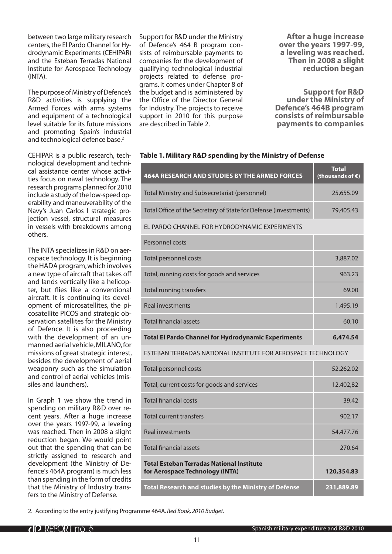| Less than 1% has been<br>repaid by the companies<br>that received them | Chapter 8 is worthy of special note.<br>During the early years of the Peo-<br>ple's Party government, there<br>was a large increase in the mili- | Appendi<br>has beer<br>that rece |
|------------------------------------------------------------------------|--------------------------------------------------------------------------------------------------------------------------------------------------|----------------------------------|
|                                                                        | tary budget. So that the budgets                                                                                                                 | To inclu                         |
|                                                                        | would not show an outrageous<br>increase in military spending, an                                                                                | ture und<br>ment ha              |
|                                                                        | accounting scheme was worked                                                                                                                     | internati                        |
|                                                                        | out using an agreement between                                                                                                                   | the opp                          |
|                                                                        | the Ministry of Industry, Tourism<br>and Commerce and the Minis-                                                                                 | also sev<br>tice whil            |
|                                                                        | try of Defense, whereby Industry                                                                                                                 | sive weid                        |
|                                                                        | would give zero-interest loans re-                                                                                                               | on milita                        |
|                                                                        | payable in twenty years to military                                                                                                              | governm                          |
|                                                                        | industries for research programs.<br>This way one could present the                                                                              | Socialist:<br>changed            |
|                                                                        | public with seemingly less milita-                                                                                                               | campaig                          |
|                                                                        | ristic budgets, which would oth-                                                                                                                 | the cessa                        |
|                                                                        | erwise be difficult to justify. The                                                                                                              |                                  |
| The items in the                                                       | political price would be reduced<br>as the resources seemingly aimed                                                                             | 2. Civilia                       |
| <b>budget for civilian</b>                                             | at R&D would increase. In reality,                                                                                                               | The item                         |
| research, which the                                                    | this money was a way of hiding                                                                                                                   | research                         |
| government presented                                                   | increases in resources for military                                                                                                              | presente                         |
| in the Parliament, total                                               | spending. Since 1997, €14.20 mil-                                                                                                                | tal € 7.9!                       |
| € 7.95 billion                                                         | lion have been lent (see Table 7 of                                                                                                              | governm                          |

**Table 2. Programs 464B program. Receiving aid under the Ministry of Industry, Commerce and Tourism's**

| FF-2000<br>Supersonic<br>Consortium of EADS-CASA and ITP,<br>combat plane<br>each of which participates in the<br>Eurofighter and Eurojet programs<br>Military<br>Airbus Military (subsidiary of Airbus SAS).<br>A400M<br>The Spanish companies EADS-CASA<br>transport plane<br>and ITP channel assistance<br>Submarine<br>$S-80$<br>Developed by Navantia<br>Submarine<br>as main contractor<br>Tank<br>Led by Asociación Pizarro made up of<br>Pizarro<br>General Dynamics S.A. Navantia, INDRA<br>(Phase 2)<br>and SAPA Placencia<br>Short-range missile<br>GD Santa Barbara Sistemas<br><b>SPIKF</b><br><b>Navantia</b><br>F105 frigate<br>Frigate<br><b>NH90</b><br><b>Helicopter</b><br>Eurocopter España<br>Helicopters<br>Tank<br>Leopard | <b>Program</b> | <b>Type of weaponry</b> | <b>Companies to receive assistance</b> |
|---------------------------------------------------------------------------------------------------------------------------------------------------------------------------------------------------------------------------------------------------------------------------------------------------------------------------------------------------------------------------------------------------------------------------------------------------------------------------------------------------------------------------------------------------------------------------------------------------------------------------------------------------------------------------------------------------------------------------------------------------|----------------|-------------------------|----------------------------------------|
|                                                                                                                                                                                                                                                                                                                                                                                                                                                                                                                                                                                                                                                                                                                                                   |                |                         |                                        |
|                                                                                                                                                                                                                                                                                                                                                                                                                                                                                                                                                                                                                                                                                                                                                   |                |                         |                                        |
|                                                                                                                                                                                                                                                                                                                                                                                                                                                                                                                                                                                                                                                                                                                                                   |                |                         |                                        |
|                                                                                                                                                                                                                                                                                                                                                                                                                                                                                                                                                                                                                                                                                                                                                   |                |                         |                                        |
|                                                                                                                                                                                                                                                                                                                                                                                                                                                                                                                                                                                                                                                                                                                                                   |                |                         |                                        |
|                                                                                                                                                                                                                                                                                                                                                                                                                                                                                                                                                                                                                                                                                                                                                   |                |                         |                                        |
|                                                                                                                                                                                                                                                                                                                                                                                                                                                                                                                                                                                                                                                                                                                                                   |                |                         |                                        |
| (Santa Bárbara Sistemas, S.A.)                                                                                                                                                                                                                                                                                                                                                                                                                                                                                                                                                                                                                                                                                                                    |                |                         | <b>General Dynamics</b>                |

ix.) of which less than  $1\%$ n repaid by the companies eived them. $3$ 

de this type of expendithe under research and developas been criticized on an ional level. When it was in osition, the Socialist Party erely criticized this pracle denouncing the excesght of credits in spending ary R&D by Peoples's Party nents.<sup>4</sup> However after the s came to power, nothing d even though one of its In promises in 2004 was ation of this practice.

#### **2. Civilian R&D**

Is in the budget for civilian r, which the government ed in the Parliament, to-5 billion according to the government,<sup>5</sup> and essentially come under the Ministry of Science and Innovation. Table 3 shows a breakout of the Ministry's programs and budget items.

Total spending on civilian R&D increased between 2004 and 2007, but in 2009 it decreased over 2008 and the 2010 budget shows reductions of 3.1% over 2009. The government has presented this reduction as a consequence of an austerity plan, which it says characterizes the 2010 budget. This reading is deceptive in that the budget for civilian R&D also includes reimbursable loans (under Chapter 8) which are credits to industry as well as chapters dedicated to personnel, normal expenses, transfers, and investments. An important part of the budget for program 467C (see Table 2) is covered under Chapter 8, i.e. reimbursable loans. Thus, if this item is not counted as support for research, the budget for civilian R&D is far below what the Spanish government claims. The reduction in the budget for R&D is enormous if we compare it with the 2009 budget in which the appropriations for credits was less.

3. Parliamentary response No. 174/001164 Congress of Deputies 23 June 2008.

4. *El País,* 10 October 2002, p. 30.

5. *White Paper, 2010 Budget*, p.14; *Yellow Paper, 2010*, p.23.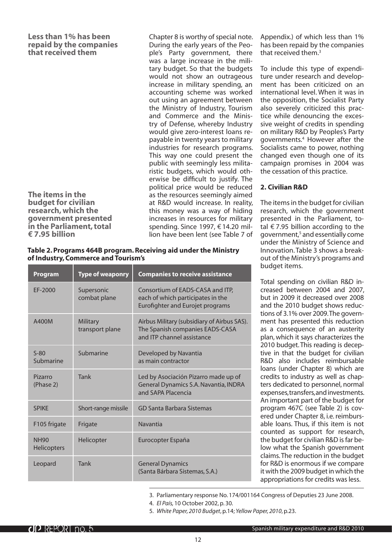Practically all items have been reduced. Health research has gone down from €369.7 million in the 2009 budget to  $\epsilon$ 332.4 million (a reduction of 10%). The item for scientific research, which includes funding for most research projects done by Spanish universities; the CSIC (Spanish National Research Council) and other research centers has gone from €964.5 million to €721.9 million (a reduction of 25%), and energy, environmental and technological research has seen a reduction from €116.4 million to  $\epsilon$ 86.2 million (26%). Given these drastic reductions it is worth noting that in the section related to industrial research and development €2.52 billion (€2.12 billion of this under Chapter 8), which represents 32% of the total dedicated to civilian R&D in the 2010 budget. This program has increased substantially compared with the 2009 budget where it amounted to €2.04 billion, a 23.8% increase. In

addition, some 50% of the money assigned to the 463B program (*Promotion and coordination of scientific and technical research*) comes under Chapter 8, i.e. credits. Thus, a very large percentage of the research and development budget consists of reimbursable credits.

This practice on the part of the Ministry of Science has been criticized by a number of scientific societies and research centers. We should keep in mind that scientific research, except in some very special cases, is not funded with credits for the simple reason that research centers do not have productive capacity. Total spending on research and development should also include the items under the Ministry of Industry basically dedicated to innovation and not to research. This practice has been widely criticized because it inflates aid to research.

**This practice on the part of the Ministry of Science has been criticized by a number of scientific societies and research centers**

| Table 3. Programs and budget items for research under the Ministry of Science and Innovation. Column [1] |  |
|----------------------------------------------------------------------------------------------------------|--|
| shows the presented budget by the government and Column [2] shows the approved budget by the Parliament. |  |

|              | <b>Ministry of SCIENCE and INNOVATION</b>                          | $\overline{11}$<br><b>Presented budget</b> | [2]<br><b>Approved budget by</b><br>the Parliament |
|--------------|--------------------------------------------------------------------|--------------------------------------------|----------------------------------------------------|
| Program      | <b>Explanation</b>                                                 | Total (thousands of $\epsilon$ )           | Total (thousands of $\epsilon$ )                   |
| 143A         | <b>Cooperation for Development</b>                                 | 4,729.32                                   | 4,729.32                                           |
| 463A         | Scientific research                                                | 721,878.23                                 | 721,878.23                                         |
| 463B         | Promotion and coordination of scientific<br>and technical research | 1,976,562.98                               | 2,097,057.76                                       |
| 465A         | Health research                                                    | 332,412.38                                 | 332,412.38                                         |
| 467A         | Astronomy and astrophysics                                         | 19,063.32                                  | 22,063.32                                          |
| 467C         | Technological-industrial research and development                  | 2,524,821.83                               | 2,548,671.83                                       |
| 467D         | Agricultural research and experimentation                          | 82,835.28                                  | 82,835.28                                          |
| 467E         | Oceanographic and fisheries research                               | 61,284.56                                  | 61,284.56                                          |
| 467F         | Geological mining and environmental research                       | 31,140.32                                  | 31,140.32                                          |
| 467H         | Energy, environmental and technological research                   | 86,226.57                                  | 91,726.57                                          |
| 000X         | Internal transfers                                                 | 791,565.32                                 | 800,065.32                                         |
| <b>Total</b> |                                                                    | 6,632,520.11                               | 6,793,864.89                                       |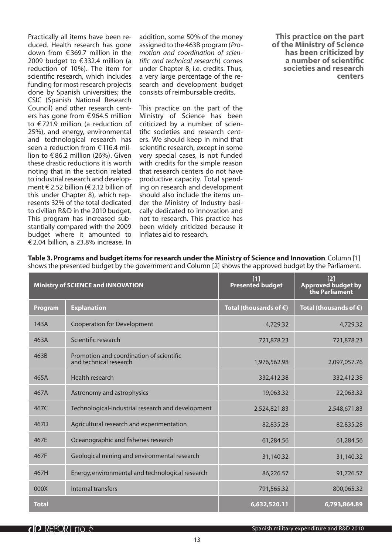**The budget cut in research by the government was worth an editorial in the prestigious Nature magazine**

**Spain has never stood out for the proportion of its budget that it dedicates to research and development**

Given this situation, it is easy to understand the displeasure of the Spanish scientific community as exemplified by the statement by the Confederation of Scientific Societies in Spain<sup>6</sup> or the open letter to the government from a group of researchers at the Center for Network Biomedical Research on Neurodegenerative Diseases)<sup>7</sup> which contains explicit criticism of the Spanish government's science policy and specifically the reduction in support for research in the 2010 budget.

The budget cut in research by the government was worth an editorial in the prestigious Nature magazine, where this reduction was criticized and pointed as an obstacle for the Spanish industry in the long term. Furthermore, the magazine recommended that the Spanish government copied the decisions taken by Germany or Greece consisting of research increase, despite the economic situation.

This budgeting policy reflects the government's priorities regarding investments and spending. The Spanish government is clearly not stressing research but aid to business and betrays the promise of a change in the model of growth. One might justify this with the argument that during a period of economic crisis there is no way not to reduce spending. But anyone who adopts this argument is simply saying he does not believe in knowledge as a path to progress. It is shocking that the Spanish government on the one hand argues for a change in the model of production, a sustainable economy and on the other, reduces its support for R&D. The situation is quite different in other countries such as the United States, France and

Germany which have increased their spending on research in their 2010 budgets. These countries are clearly also experiencing severe economic crises but nevertheless have stressed research and not in the form of loans.

Spain has never stood out for the proportion of its budget that it dedicates to research and development. Spending on R&D by Spain represents 1.27% of GDP according to 2007,<sup>8</sup> amounts well below those dedicated to the same purpose by countries such as Germany (2.54%), the USA (2.68%), France (2.08%), Japan (3.44%), Iceland (2.75%, Sweden (3.60%), or South Korea (3.47%). The level is clearly below the OECD average<sup>9</sup> (2.29% of GDP), the G7 (2.53%) the EU15 (1.90%) and even the EU 27 (1.77%) (see Table 8 and Graph 1 in the Appendix). Thus, even though the reduction in R&D in the 2010 budget was small, the situation is still dramatic. One should then not be surprising at the protests by various groups of scientists about the reduction that have appeared in the press. Despite the efforts of the Spanish government to gain a role in the leading groups of the world economy, we can safely say that in terms of the research and development Spain brings up the rear among industrialized countries.

Finally, after discussions in the Congress, the budget allocated for civil research was increased to the level of previous years (see column [2] in Table 2). The most significant increase corresponds to the 463B programme, which supports the research on universities and research centres. It was precisely this programme the one that raised many protests among scientists and it is very likely this was the

- 6. The statement can be found at http://www.cosce.org.
- 7. The letter was printed in *El País*, 1 October 2009, p. 31.
- 8. *L'OCDE en chiffres 2009.* Éditions OCDE, 2009, p. 78-79.
- 9. The OECD is the Organization for Economic Cooperation and Development. The members are: Australia, Austria, Belgium, Canada, Korea, Denmark, Slovakia, Spain, the United States, Finland, France, Germany, Greece, Hungary, Ireland, Iceland, Italy, Japan, Luxembourg, Mexico, Norway, New-Zealand, the Netherlands, Poland, Portugal, the United Kingdom, Sweden, Switzerland, the Czech Republic and Turkey.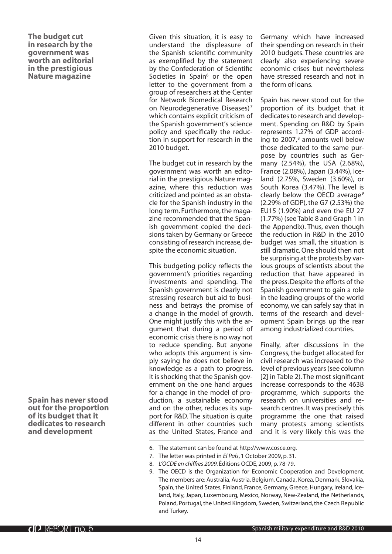

Health Research

Astronomy Astronomy<br>and Astrophysics Astrophysics

Agricultural Agricultural<br>Research

reason. Discussions in the Congress did not lead to any changes in military research.

#### **3. Comparison between military R&D and civilian R&D**

The amount the Ministry of Defense dedicates to military research is €231.9 million and as mentioned the Ministry of Industry contributes 950.91 million €. If we follow the Spanish government's logic of including budget items for credits to businesses, as does the Ministry of Science and Innovation, we also have to do so in the case of military research and industry. Then, the total spending on military investment in the 2010 budget would be €1.18 billion. As spending on civilian research totals €7.95 billion, the sum of civilian and military research is  $\epsilon$  9.13 billion of which 13% goes to military research and 87% to civilian research.

It is hard to say whether a billion  $\epsilon$ is a lot of money or not, but we can get a better idea if we compare this amount with the money dedicated to other areas. As an aid, the graph in Figure 2 shows the budgeting for other areas of research. Let us do a comparative calculation: the budget for the armed forces is three and a half times that dedicated to health research, almost forty times greater than that dedicated to geological-mining and environmental research, fourteen times that of agricultural research, and 1.6 times what is to be spent on funding all the research projects of all Spain's universities and all the research centers under the CSIC.

#### **4. Some final thoughts**

We do need to point out that in the past the situation was far worse. For example, the People's Party government in 2003 dedicated 34% of the total research to military research, which ranked Spain in a dishonorable second place among countries

worldwide in terms of military research as a proportion of GDP. Spain ranked only behind the US and ahead of countries such as Russia, Great Britain, and China. One must recognize that in recent years the government has reduced the budget for military research and increased that for civilian research, though we are still far from the situation prevailing in similar countries. Spain still brings up the rear in terms of civilian research. In order to be comparable to the G7, Spain would have to double R&D without counting aid in the form of credits (the G7 countries dedicate 2.53% of GDP to research).

Budget ( $\epsilon$  milions)

Budget (€ milions)

Total Armed Forces

D. of Industry

 $\overline{\Omega}$ 

of Industry

Scientific Research

D. of Defense

 $\overline{\mathsf{d}}$ 

of Defense

The Socialist government is not living up to the commitments it made in its 2004 electoral platform, in which it said it would not include Chapter 8 spending (reimbursable credits) in the category of research, and its 2008 campaign promises in which they stated the intention to continue support for research and increase research on health (it declined in both the 2009 and 2010 budgets.) The government's policy ignores the resolutions of the 37th Socialist Party convention which stated that an advanced society

**13% goes to military research**

Energy and

Energy and<br>Environmental F

Environmental Research

Research

**The budget for the armed forces is three and a half times that dedicated to health research**

**Oceanographic** and Fishing Research

.<br>Oceanographic<br>and Fishing Rese

**Fishing Research** 

**In order to be comparable to the G7, Spain would have to double R&D**

**The Socialist government is not living up to the commitments it made in its 2004 electoral platform, in which it said it would not include Chapter 8 spending (reimbursable credits) in the category of research**



10. The resolutions of the 137th party convention, p. 32. This document can be con-

sulted at www.psoe.es.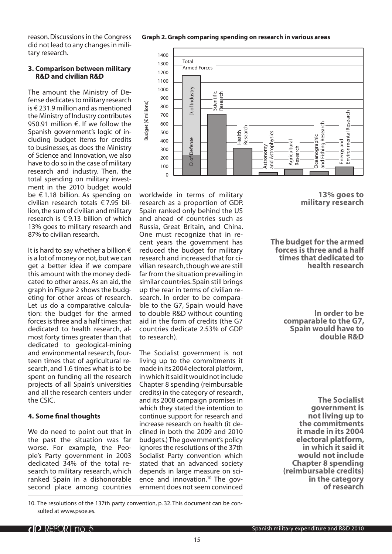**What is needed is an increase in civilian research until we are at the level of similar countries** 

as it has presented a 2010 budget with a huge reduction in research and development.

The Spanish government still counts credits to industry as part of research, which inflates the research budget. Thus, the real research budget is much smaller than what the government shows in its budget.

One cannot argue that the reduction in civilian research is an aspect of the worldwide crisis as other countries have increased not only the resources they dedicate to applied research but that going to basic research. It is precisely in times of crisis that one must invest in activities that help change the model of production and make it more efficient, something that is particularly urgently needed in Spain.

The Spanish government's priorities ignore the real needs of the population. The issues that concern the population like health, energy, environment and education are not reflected in the aid the government gives to research. The resources the government dedicates to research in these areas are less than those it dedicates to military investigation, which, make no mistake, involves improving weaponry that serves to kill more efficiently.

The road that needs to be taken is clear: what is needed is an increase in civilian research until we are at the level of similar countries and a drastic reduction in military research if we want to contribute to a juster, more peaceful world.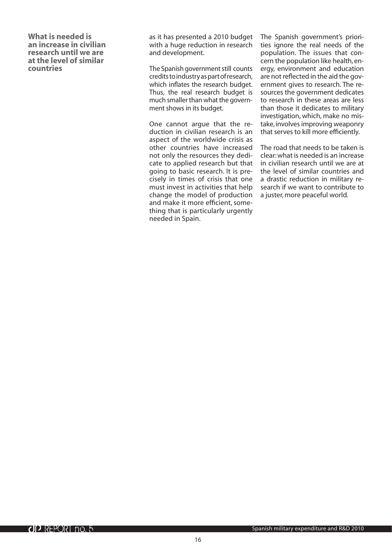### **ANNEX**

In this annex different tables and graphics are attached, which complement this data report. For more information about this issues see **http://www.centredelas.org/**

| <b>Table 7.1997-2009 military R&amp;D</b> (current $€$ million) |  |
|-----------------------------------------------------------------|--|
|-----------------------------------------------------------------|--|

| <b>Year</b>  | <b>R&amp;D Ministry</b><br>of Defence | <b>Military R&amp;D</b><br><b>Ministry of Industry</b> | <b>Total military R&amp;D</b> | <b>Total R&amp;D</b> | Military/total (%) |
|--------------|---------------------------------------|--------------------------------------------------------|-------------------------------|----------------------|--------------------|
| 1997         | 290.11                                | 210.36                                                 | 500.47                        | 1,352.68             | 37.00              |
| 1998         | 300.14                                | 581.00                                                 | 881.14                        | 1,867.95             | 47.20              |
| 1999         | 294.75                                | 1,198.58                                               | 1,493.33                      | 2,767.84             | 54.00              |
| 2000         | 293.48                                | 964.11                                                 | 1,257.59                      | 3,053.86             | 41.20              |
| 2001         | 382.11                                | 947.80                                                 | 1,329.91                      | 3,435.30             | 38.70              |
| 2002         | 314.04                                | 1,176.85                                               | 1,490.89                      | 3,465.40             | 38.30              |
| 2003         | 322.97                                | 1,049.90                                               | 1,372.87                      | 4,000.12             | 34.30              |
| 2004         | 303.42                                | 1,070.00                                               | 1,373.42                      | 4,402.00             | 31.20              |
| 2005         | 315.69                                | 1,014.60                                               | 1,330.29                      | 4,972.23             | 26.70              |
| 2006         | 325.88                                | 1,358.01                                               | 1,683.89                      | 6,510.81             | 26.00              |
| 2007         | 361.04                                | 1,225.06                                               | 1,586.10                      | 8,060.42             | 19.70              |
| 2008         | 355.67                                | 1,308.57                                               | 2,363.67                      | 9,342.55             | 17.82              |
| 2009         | 312.41                                | 1,149.92                                               | 1,462.33                      | 9,654.29             | 15.15              |
| 2010         | 231.89                                | 950.91                                                 | 1,182.80                      | 9,128.80             | 12.96              |
| <b>Total</b> | $\sqrt{4,403.60}$                     | 14,205.67                                              | 19,308.70                     | 72,014.25            |                    |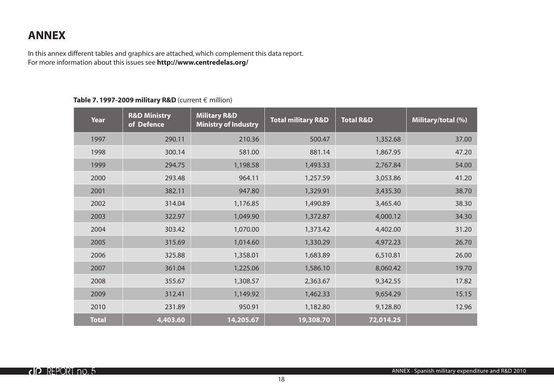| <b>Countries</b>      | % of GDP | <b>Per inhabitant</b><br>(\$ US current) |
|-----------------------|----------|------------------------------------------|
| Sweden                | 3.60     | 1,320                                    |
| Korea                 | 3.47     | 861                                      |
| Finland               | 3.47     | 1,206                                    |
| Japan                 | 3.44     | 1,157                                    |
| Switzerland           | 2.90     | 1,003                                    |
| Iceland               | 2.75     | 980                                      |
| <b>United States</b>  | 2.68     | 1,221                                    |
| Austria               | 2.56     | 952                                      |
| <b>Denmark</b>        | 2.55     | 917                                      |
| Germany               | 2.54     | 874                                      |
| France                | 2.08     | 680                                      |
| <b>Australia</b>      | 2.01     | 716                                      |
| Canada                | 1.88     | 724                                      |
| Belgium               | 1.87     | 662                                      |
| <b>United Kingdom</b> | 1.79     | 640                                      |
| <b>Netherlands</b>    | 1.70     | 669                                      |
| Norway                | 1.64     | 878                                      |

| Table 8. R&D in OECD countries in 2007 |  |  |  |
|----------------------------------------|--|--|--|
|----------------------------------------|--|--|--|

| <b>Countries</b>      | % of GDP | <b>Per inhabitant</b><br>(\$ US current) |
|-----------------------|----------|------------------------------------------|
| Luxemburg             | 1.63     | 1,300                                    |
| <b>Check Republic</b> | 1.54     | 369                                      |
| Ireland               | 1.31     | 591                                      |
| <b>Spain</b>          | 1.27     | 401                                      |
| <b>New Zeeland</b>    | 1.21     | 325                                      |
| Portugal              | 1.18     | 269                                      |
| Italy                 | 1.13     | 334                                      |
| Hungry                | 0.97     | 181                                      |
| <b>Turkey</b>         | 0.71     | 92                                       |
| Greece                | 0.57     | 163                                      |
| Poland                | 0.57     | 91                                       |
| Mexico                | 0.46     | 57                                       |
| Slovakia              | 0.46     | 92                                       |
| G7                    | 2.53     | 981                                      |
| <b>EU-15</b>          | 1.90     | 635                                      |
| <b>EU-27</b>          | 1.77     | 530                                      |
| <b>OECD</b>           | 2.29     | 748                                      |

Source: *L'OCDE en chiffres 2009*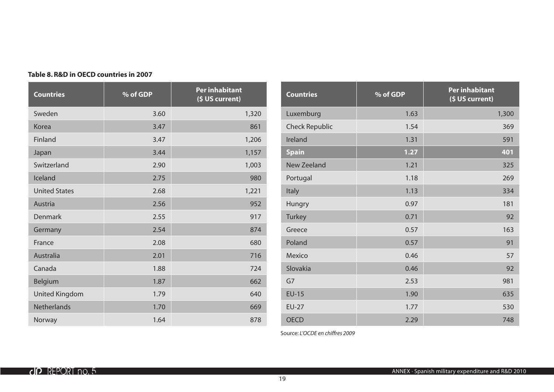#### **Table 9. Initial budged** (current € million)

| <b>Concepts</b>                                                   | 2001      | 2002              | 2003      | 2004      | 2005                   | 2006      | 2007      | 2008      | 2009      | 2010      |
|-------------------------------------------------------------------|-----------|-------------------|-----------|-----------|------------------------|-----------|-----------|-----------|-----------|-----------|
| Ministry of Defence                                               | 6,060.76  | 6,322.65          | 6,479.65  | 6,746.77  | 7,024.79               | 7,416.53  | 8,052.76  | 8,492.61  | 8,240.77  | 7,694.86  |
| <b>Autonomous Organisms</b><br>of Ministry of Defence             | 1,040.92  | 1,067.16          | 1,137.32  | 1,184.64  | 1,242.02               | 1,232.15  | 1,282.19  | 1,334.63  | 1,230.53  | 1,218.19  |
| National<br>Intelligence Centre                                   |           | $\qquad \qquad -$ | 138.00    | 161.95    | 189.74                 | 208.57    | 241.57    | 264.71    | 255.06    | 241.37    |
| <b>Total Ministry</b><br>of Defence                               | 7,101.68  | 7,389.81          | 7,754.97  | 8,093.36  | 8,456.55               | 8,857.25  | 9,576.52  | 10,091.95 | 9,726.36  | 9,154.42  |
| Military passive budget                                           | 2,390.36  | 2,438.17          | 2,617.28  | 2,685.14  | 2,855.16               | 2,993.18  | 3,102.21  | 3,184.35  | 3,298.14  | 3,328.59  |
| <b>ISFAS (Other Ministries)</b>                                   |           | 441.40            | 462.96    | 551.75    | 571.98                 | 587.80    | 563.62    | 565.60    | 602.53    | 617.53    |
| <b>Guardia Civil</b><br>(Civil Police/Home Office)                | 1,774.41  | 1,842.14          | 1,985.35  | 2,080.56  | 2,143.72               | 2,364.38  | 2,657.51  | 2,893.37  | 2,941.51  | 2,973.17  |
| <b>Military R&amp;D</b><br>(Ministry of Industry)                 | 947.80    | 1,176.85          | 1,049.90  | 1,110.80  | 1,014.60               | 1,358.01  | 1,225.06  | 1,308.57  | 1,149.92  | 950.91    |
| International military<br>Organizations<br>(Foreign Affairs)      | 7.46      |                   | 7.33      | 11.21     | 18.03                  | 8.83      | 7.79      | 7.80      | 56.57     | 11.07     |
| <b>Total Defence</b><br><b>SIPRI and NATO criteria</b>            | 12,221.71 | 13,288.37         | 13,877.79 | 14,532.82 | $\overline{15,060.04}$ | 16,169.45 | 17,132.71 | 18,051.64 | 17,775.03 | 17,035.69 |
| <b>Conscience Objection</b><br>(Ministry of Justice) <sup>1</sup> | 21.14     |                   |           |           |                        |           |           |           |           |           |
| Public debt interests                                             | 1,068.79  | 1,080.55          | 1,201.48  | 1,204.80  | 1,117.77               | 919.91    | 844.61    | 858.68    | 834.57    | 1,125.20  |
| <b>Total Military</b><br><b>Expenditure</b>                       | 13,311.64 | 14,368.92         | 15,079.27 | 15,737.62 | 16,177.81              | 17,089.36 | 17,977.32 | 18,910.32 | 18,609.60 | 18,160.89 |
| % GDP                                                             | 1.95%     | 1.97%             | 1.93%     | 1.87%     | 1.78%                  | 1.74%     | 1.71%     | 1.73%     | 1.77%     | 1.73%     |
| % Budget                                                          | 6.36%     | 6.87%             | 6.91%     | 6.88%     | 6.67%                  | 6.11%     | 5.53%     | 5.42%     | 5.11%     | 4.70%     |

1. Due to the army profesionalization this item desapeared.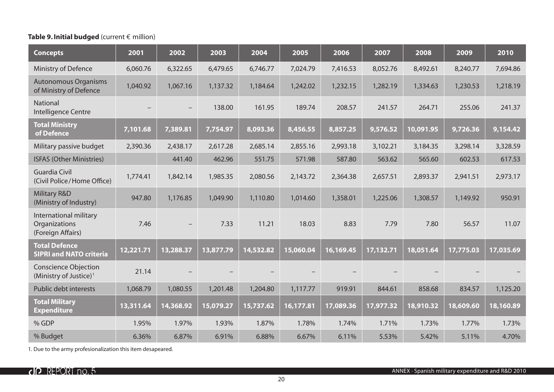| Table 10. Settled budged (current € million) |  |
|----------------------------------------------|--|
|----------------------------------------------|--|

| <b>Concepts</b>                                       | 2000     | 2001     | 2002              | 2003     | 2004     | 2005     | 2006      | 2007      | 2008      | 2009 <sup>1</sup> |
|-------------------------------------------------------|----------|----------|-------------------|----------|----------|----------|-----------|-----------|-----------|-------------------|
| Ministry of Defence                                   | 6,257.84 | 6,569.92 | 6,919.65          | 7,110.73 | 7,529.72 | 7,892.32 | 8,571.34  | 9,340.08  | 9,810.79  | 9,346.30          |
| <b>Autonomous Organisms</b><br>of Ministry of Defence | 799.85   | 1,100.27 | 1,114.06          | 1,220.73 | 1,557.14 | 1,554.37 | 1,600.13  | 1.654,83  | 1,613.57  | 1,280.31          |
| National<br>Intelligence Centre <sup>2</sup>          |          |          | $\qquad \qquad -$ | 138.89   | 130.05   | 180.00   | 208.57    | 241.57    | 264,71    | 255.06            |
| <b>Total Ministry</b><br>of Defence                   | 7,057.69 | 7,670.19 | 8,033.71          | 8,470.35 | 9,216.91 | 9,626.69 | 10,380.04 | 11,236.48 | 11,689.07 | 10,881.67         |
| <b>Initial Total Defence</b>                          | 6,279.93 | 7,101.68 | 7,389.81          | 7,754.97 | 8,093.36 | 8,456.55 | 8,857.25  | 9,576.52  | 10,091.95 | 9,726.36          |
| <b>Settled Total Defence</b>                          | 7,057.69 | 7,670.19 | 8,033.71          | 8,470.35 | 9,216.91 | 9,626.69 | 10,380.04 | 11,236.48 | 11,689.07 | 10,881.67         |
| % Variation                                           | 12.4     | 8.4      | 8.6               | 9.4      | 13.8     | 13.8     | $17.2$    | 17.3      | 15.8      | 11.9              |

1. Provisional settelment on 30/9/2009.

2. Initial budged has been consigned since CNI does not provide the settled budget arguing it is under the Official Secrets Law.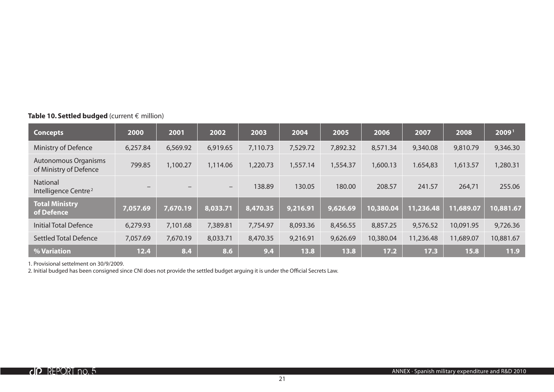

#### **Graph 1. R&D (% GDP)**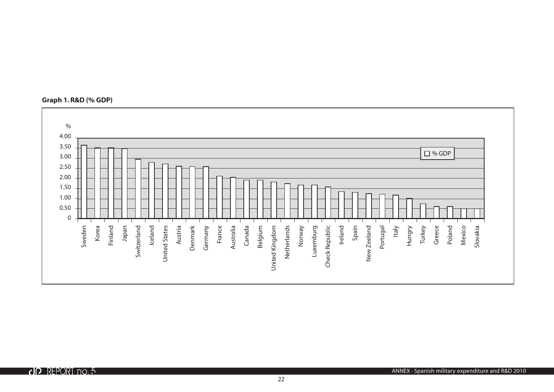

**Graph 2. Evolution of the Ministery of Defence Budget**

**Graph 3. % Initial/settled variation budget**

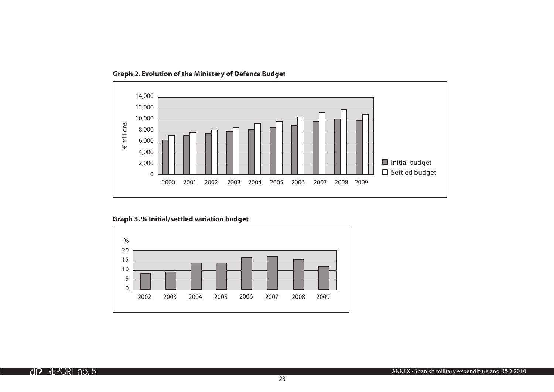#### **Table 11. 2009 current main arms contracts** (current € million)

| <b>Concepts</b>                               | <b>Provider</b>                                                                | <b>Period</b> | <b>Initial cost</b> | <b>Current cost</b> | <b>Notes and source</b>                                  |
|-----------------------------------------------|--------------------------------------------------------------------------------|---------------|---------------------|---------------------|----------------------------------------------------------|
| 87 EF-2000 fighters<br>(Eurofighter)          | EADS-CASA, Santa<br>Bárbara, ITP, Indra,<br>Gamesa, Tecnobite                  | 1997/2024     | 6,363.10            | 10,795.40           | 1,598.7 R&D,<br>9,196.7 production<br>Infodefensa 1/7/09 |
| 24 Tiger<br>combat helicopter                 | Eurocopter, Sener,<br>Amper, ECESA, Indra                                      | 1997/2014     | 1,081.82            | 1,353.50            |                                                          |
| 27 A400M<br>transport plane                   | Eads-Casa, Flabel, ITP,<br>Sener, Tecnobit, Alcor                              | 2001/2020     | 3,449.81            | 4,442.52            |                                                          |
| 5 F-100 Frigates                              | Navantia, Indra, Maxam                                                         | 1997/2009     | 2,145.84            | 2,388.00            | Fuerzas 5/2007                                           |
| F-100 frigates<br>Aegis systems               | Lockheed Martin,<br>Amper                                                      | 2006/2009     | 200.00              | 200.00              |                                                          |
| 239 2E Leopard<br>armoured vehicles           | Santa Bárbara, Indra,<br>Navantia, Electroop,<br>Sapa Placencia, Amper,<br>CAF | 1996/2017     | 1,941.77            | 2,139.70            | Infodefensa 4/4/08                                       |
| 108 Leopard armoured<br>vehicles (used units) | Germany<br>gouvernament                                                        | 2005/2016     | 16.92               | 16.92               |                                                          |
| 212 Pizarro armoured                          | Santa Bárbara, Steyr,<br>Puch, Indra                                           | 2005/2024     | 707.47              | 781.00              | Fuerzas 5/2007                                           |
| 4 S-80 submarines                             | Navantia, Tecnobit,<br>Abengoa                                                 | 2011/2014     | 1,502.53            | 1,755.90            |                                                          |
| 1 LLX strategic ship                          | Navantia                                                                       | 2004-2010     | 360.00              | 374.22              |                                                          |
| 4 BAM ships                                   | Navantia                                                                       | 2006/2010     | 215.00              | 340.00              |                                                          |
| 1 supplier ship BAC                           | Navantia                                                                       | 2003/2022     | 228.76              | 228.76              |                                                          |
| 12 LCM<br>disembark boats                     | Navantia                                                                       | 1997/2009     | 33.69               | 33.69               |                                                          |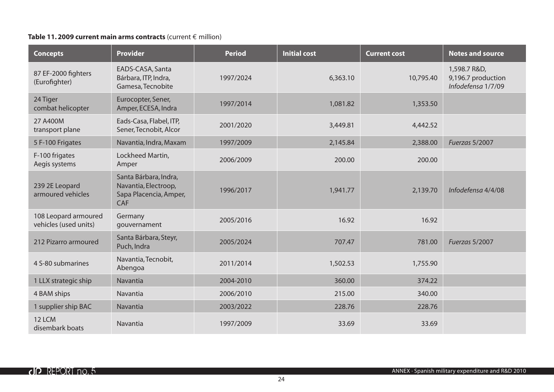| <b>Concepts</b>                                         | <b>Provider</b>                                                    | <b>Period</b> | <b>Initial cost</b> | <b>Current cost</b> | <b>Notes and source</b> |
|---------------------------------------------------------|--------------------------------------------------------------------|---------------|---------------------|---------------------|-------------------------|
| 45 NH-90 helicopters                                    | Eurocopter, Sener,<br><b>ECESA General Electric,</b><br>ITP, Indra | 2006/2012     | 1,260.00            | 1,300.00            | 5 Días 22/6/07          |
| 67 C-15 planes<br>(EF-18 Hornet)<br>(modernization)     | EADS-CASA                                                          | 1998/2009     | 186.00              | 212.00              | Fuerzas 2/09            |
| 5 P3 Orión P3-Orion<br>(modernization)                  | <b>EADS-CASA</b>                                                   | 2005/2011     | 108.90              | 108.90              | Fuerzas 82              |
| 13 C-295 planes                                         | EADS-CASA                                                          | 2005/2009     | 174.82              | 205.00              | Fuerzas 10/07           |
| 84 Centauro vehicles                                    | Iveco, Amper,<br>Oto Melara                                        | 1999/2009     | 134.65              | 134.65              |                         |
| 43 Mísisls<br>Kepd-350 Taurus<br>(F-18 and Eurofigther) | Taurus Systems, EADS,<br>Sener                                     | 2004/2010     | 59.21               | 59.21               |                         |
| 232 Meteor missiles<br>(F-18 and Eurofigther)           | MBDA, Inmize, INTA                                                 | 1999/2009     | 62.13               | 62.13               |                         |
| 768 Iris-T missiles<br>(EF-18 and Eurofigther)          | Sener, Expal, ICSA                                                 | 2005/2011     | 247.32              | 247.32              | Infodefensa 23/5/09     |
| 64 Standard missiles<br>(Frigates F-100)                | Raytheon (USA)                                                     | 1996/2008     | 160.50              | 106.50              |                         |
| 120 Sparrow missiles<br>(F-18 and F-100)                | Indra                                                              | 1997/2015     | 50.86               | 50.86               |                         |
| 40 S-80<br>submarine torpedoes                          | Germany gouvernament,<br>Amper, Iveco                              | 2005/2014     | 76.31               | 76.31               |                         |
| 70 155/52 mm howitzer                                   | Santa Bárbara, Amper,<br><b>Iveco</b>                              | 2006/2023     | 190.97              | 190.97              |                         |
| 5 AV-8B planes                                          | EADS-CASA, Indra, ITP,<br>Iberia                                   | 1997/2018     | 148.06              | 148.06              |                         |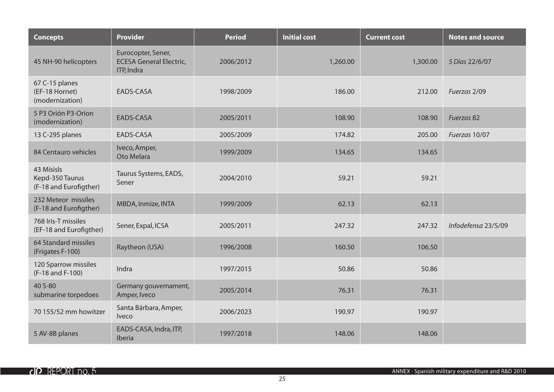| <b>Concepts</b>                                                 | <b>Provider</b>                                       | <b>Period</b> | <b>Initial cost</b> | <b>Current cost</b> | <b>Notes and source</b>                                      |
|-----------------------------------------------------------------|-------------------------------------------------------|---------------|---------------------|---------------------|--------------------------------------------------------------|
| Communication<br>and satellites                                 | Indra, INTA, Hispasat                                 | 1995/2009     | 81.87               | 81.87               |                                                              |
| 37 "Soldier of Future"<br>programs                              | EADS-CASA, GMV,<br>Tecnobit, Indra                    | 2006/2009     | 24.50               | 24.50               | Europa Press 18/9/06,<br>Fuerzas 2/08                        |
| 4 EC-135 helicopters                                            | Eurocopter (EADS)                                     | 2006/2009     | 25.00               | 25.00               | 22/12/2006                                                   |
| UAV unmanned<br>combat plane (Neurón)                           | EADS-CASA, Thales,<br>Indra                           | 2007/2012     | 35.50               | 35.50               | <b>Total cost</b><br>€ 1.000 millions<br>Confidential 9/5/08 |
| 4 Arthur radar systems                                          | Ericsson                                              | 2006/2012     | 69.09               | 69.09               | Europa Press 28/11/06                                        |
| 4 unmanned plane UAV<br>Searcher MKII-J                         | Aircarft Industries Israel<br>(IAI), Indra, Eads-Casa | 2007/2009     | 14.37               | 23.14               | 25/4/07, El País,<br>Fuerzas 82                              |
| 24 Tomahawk missiles<br>(of forecast of 60)<br>(F-100 and S-80) | Raytheon (USA)                                        | 2008/2012     |                     |                     | SUSPENDED<br>Infodefensa 12/10/09                            |
| 19 Chinook transport<br>helicopters<br>(modernization)          | <b>EADS-CASA</b>                                      | 2007/2009     | 53.00               | 53.00               |                                                              |
| Secure systems<br>for Chinook Helicopters                       | <b>NATO</b>                                           | 2009/2010     | 16.00               | 16.00               | Infodenfensa 8/8/09                                          |
| 2,600 Spike MR<br>and ER missiles<br>(260 batteries)            | Rafael (Israel), Santa<br>Bárbara, Tecnobit           | 2008/2022     | 260.00              | 371.00              | Comerciodigital 29/1/08                                      |
| Mistral-2 missiles<br>(Tiger helicopters)                       | <b>MBDA</b>                                           | 2007/2011     | 27.73               | 27.73               | Fuerzas 11/2007                                              |
| Military emergency<br>units equipment                           | Trucks to Iveco,<br>4x4 to Santana                    | 2007/2010     | 40.00               | 230.00              | Fuerzas 6/07,<br>El Pais 19/10/07,<br>Infodefensa 26/3/08    |
| Fire extinguishing<br>aircrafts                                 | Bombardier                                            | 2008/2010     | 40.50               | 40.50               | Infodefensa 26/3/08                                          |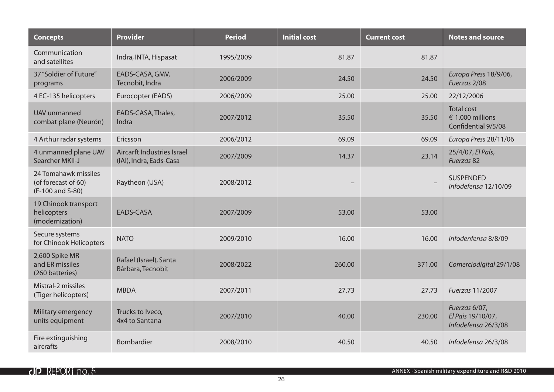| <b>Concepts</b>                                                    | <b>Provider</b>                   | <b>Period</b> | <b>Initial cost</b> | <b>Current cost</b> | <b>Notes and source</b>                  |
|--------------------------------------------------------------------|-----------------------------------|---------------|---------------------|---------------------|------------------------------------------|
| 6 CN-235 MP planes<br>(modernization)                              | <b>EADS-CASA</b>                  | 2007/2010     | 49.80               | 49.80               | Fuerzas 3/08                             |
| 4 AV-8V Harrier planes<br>(modernization)                          | <b>EADS-CASA</b>                  | 2007/2011     | 11.50               | 11.50               | Fuerzas 8/08                             |
| <b>P34G</b> tactical<br>radiotelephones                            | Amper                             | 2007/2010     | 180.00              | 180.00              | Fuerzas 10/07                            |
| 220 MRAP armoured<br>vehicles model LMV<br>(1 <sup>st</sup> phase) | Iveco Spain                       | 2007/2010     | 143.00              | 143.00              | El País 14/1/08,<br>Fuerzas 3/08         |
| 15 MRAP armoured<br>vehicles model LMV<br>(2nd phase)              | Iveco Spain                       | 2009/2010     | 4.50                | 4.50                | El País 14/1/08,<br>Infodefensa 20/11/09 |
| 100 RG-31 Mkse<br>vehicles armoured                                | <b>General Dynamics</b><br>Rafael | 2009/2010     | 64.60               | 64.60               | 3/9/2008 web GD                          |
| 27 UAV Raven<br>microplanes                                        | Aerlyper                          | 2008/2009     | 3.09                | 3.09                | El País 14/1/08                          |
| Satellite observation<br>systems (SAR)                             | Hisdesat                          | 2012/2016     | 376.52              | 376.52              | IDS 12/1/08                              |
| 4 AL Cougar helicopters                                            | Eurocopter España                 | 2008/2009     | 76.00               | 76.00               | Fuerzas 1/08                             |
| Pleiades space military<br>observation system                      | Indra                             | 2008/2011     | 13.70               | 13.70               | web Indra 2/4/08                         |
| <b>IFF F-105</b><br>frigate defence system                         | Indra                             | 2008/2012     | 40.00               | 40.00               | Fuerzas 8/08                             |
| 2 Puma helicopters                                                 | Inaer Helicópteros                | 2009          | 7.00                | 7.00                | Infodefensa 15/11/08                     |
| Fixing of aircrafts                                                | <b>EADS-CASA</b>                  | 2009          | 9.00                | 9.00                | Infodefensa 16/11/08                     |
| Fixing of helicopters                                              | Indra                             | 2009          | 7.90                | 7.90                | Infodefensa 17/11/08                     |
| 90 remote control stations<br>for armoured vehicles                | Tecnobit                          | 2009          | 15.00               | 15.00               | 5 Días 1/12/08                           |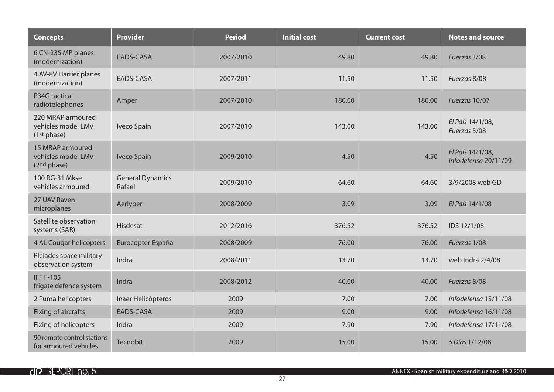| <b>Concepts</b>                                                              | <b>Provider</b>               | <b>Period</b> | <b>Initial cost</b> | <b>Current cost</b> | <b>Notes and source</b> |
|------------------------------------------------------------------------------|-------------------------------|---------------|---------------------|---------------------|-------------------------|
| 21 Piraña III armoured                                                       | Rheimentall, Santa<br>Bárbara | 2008/2015     | 68.30               | 68.30               | Infodefensa 16/9/08     |
| 12 Anibal vehicles                                                           | Santana Motor                 | 2009/2010     | 3.60                | 3.60                | Infodefensa 3/2/09      |
| MG-4/E Machine guns<br>and G-36 rifles                                       | Heckler & Koch<br>(Germany)   | 2009/2010     | 4.17                | 4.17                | Infodefensa 22/10/09    |
| Lanza 3D radar                                                               | Indra                         | 2009/2012     | 25.00               | 25.00               | Infodefensa 6/4/09      |
| M-31 Anti-landmines<br>Systems                                               | Indra                         | 2009/2010     | 7.08                | 7.08                | Infodefensa 28/7/09     |
| Surveillance systems<br>for Citacion V aircraft                              | <b>EADS-CASA</b>              | 2008/2009     | 8.00                | 8.00                | BOE 2/1/08              |
| <b>Aircraft SAM Systems</b>                                                  | Indra                         | 2009/2010     | 24.30               | 24.30               | Infodefensa 16/9/09     |
| Alcotán grenade machine<br>guns (upgrading)                                  | Instalaza                     | 2010          | 1.50                | 1.50                | Infodefensa 11/9/09     |
| Radars, communication<br>and aircraft systems for<br>the "Ejército del Aire" |                               | 2009/2010     | 61.70               | 61.70               | Infodefensa 9/8/09      |
| <b>MIDS Satellite</b><br><b>Information Systems</b>                          | <b>EADS-CASA</b>              | 2009/2022     | 17.00               | 17.00               | Info 28/9/09            |
| Ammunitions<br>and grenades                                                  | Santa Bárbara, Expal          | 2009/2010     | 2.30                | 2.30                | Infodefensa 3/11/09     |
| <b>UAV Mini plain</b>                                                        | Alfa Bravo                    | 2009/2010     | 1.90                | 1.90                | Infodefensa 25/11/09    |
| <b>Total euros</b>                                                           |                               |               | 23,020.46           | 29,985.71           |                         |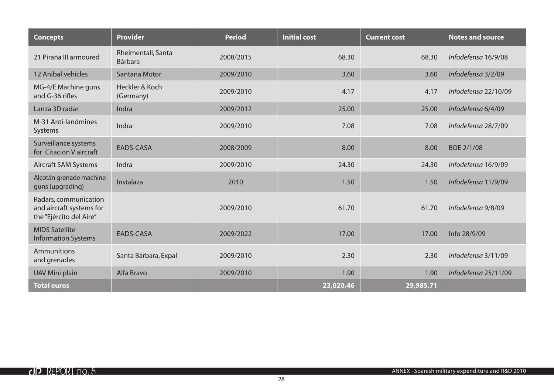#### **Table 12. Settled expenditure of Spanish army in foreign missions**  (current € million)

| <b>Year</b>  | <b>Pres. inicial</b> | <b>Pres. Liquidat</b> | Afganistán <sup>2</sup> |
|--------------|----------------------|-----------------------|-------------------------|
| 1991         | 0.00                 | 18.70                 |                         |
| 1992         | 0.00                 | 45.80                 |                         |
| 1993         | 0.00                 | 17.70                 |                         |
| 1994         | 0.00                 | 58.20                 |                         |
| 1995         | 0.00                 | 103.10                |                         |
| 1996         | 0.00                 | 133.90                |                         |
| 1997         | 0.00                 | 128.12                |                         |
| 1998         | 0.00                 | 146.38                |                         |
| 1999         | 0.00                 | 249.23                |                         |
| 2000         | 0.00                 | 239.63                |                         |
| 2001         | 0.00                 | 241.34                |                         |
| 2002         | 60.10                | 330.55                | 90.75                   |
| 2003         | 60.10                | 416.05                | 92.53                   |
| 2004         | 60.10                | 380.62                | 137.81                  |
| 2005         | 18.36                | 416.50                | 223.63                  |
| 2006         | 18.36                | 563.00                | 272.35                  |
| 2007         | 17.36                | 642.00                | 266.75                  |
| 2008         | 17.36                | 668.00                | 312.00                  |
| 20091        | 14.36                | 669.00                | 364.00                  |
| 2010         | 14.36                |                       |                         |
| <b>Total</b> | 280.46               | 5,648.02              | 1,759.82                |

1. Provisional in 30/9/2009

2. Alejandro Pozo in *Alliance of barbaties.*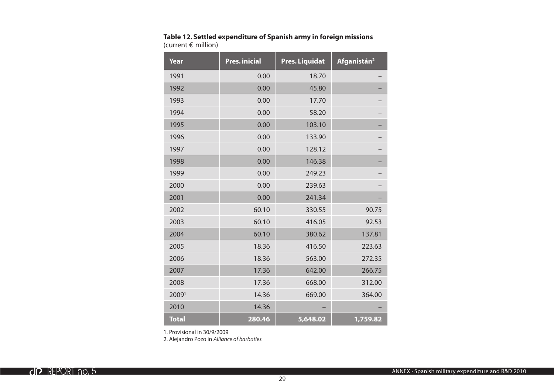#### **Table 13. Main Military Investments** (current € million)

| <b>Arms</b>                                                          | 2006              | 2007              | 2008   | 2009   | 2010   |
|----------------------------------------------------------------------|-------------------|-------------------|--------|--------|--------|
| EF-2000 fighters (Eurofighter)                                       | 472.22            | 36.02             | 265.41 | 266.23 | 176.19 |
| A400M transport plane                                                | 1.00              | 1.00              | 1.00   | 1.00   | 1.00   |
| Tiger combat helicopter                                              | 9.65              | 60.64             | 141.36 | 110.45 | 36.27  |
| F-100 Frigates                                                       | 27.10             | 5.56              | 19.26  | 17.23  |        |
| 2E Leopard armoured vehicles                                         | 132.49            | 101.48            | 84.56  | 154.76 | 36.00  |
| Pizarro armoured vehicles                                            | 5.36              | 59.52             | 13.54  | 70.36  | 2.00   |
| 155/52 mm howitzer                                                   | 3.06              | 3.12              | 10.98  | 13.57  | 15.14  |
| <b>Taurus missiles</b>                                               | 2.20              | 25.44             | 11.88  | 6.00   | 6.78   |
| Iris-T missiles                                                      | 25.68             | 50.44             | 29.56  | 30.27  | 11.06  |
| LLX strategic ship                                                   | 3.25              | 0.00              | 23.29  | 2.74   | 0.00   |
| Spike MR and ER missiles                                             |                   | 64.10             | 5.26   | 6.60   | 14.97  |
| Centauro armoured vehicles                                           | 39.37             | 25.04             | 5.54   | 3.89   | 11.17  |
| S-80 submarines                                                      | 51.38             |                   | 0.00   |        | 0.00   |
| S-70 submarines (modernization)                                      | $\qquad \qquad -$ | $\qquad \qquad -$ | 20.00  | 0.00   |        |
| NH-90 helicopters                                                    | 0.20              | 14.00             | 14.90  | 32.01  | 14.49  |
| Lamps helicopter and AV-8B planes (modernitzation) (Navy)            | 27.49             | 0.50              | 11.79  | 9.69   |        |
| Chinook helicopter (modernitzacion)                                  |                   |                   |        |        | 3.00   |
| BAC, BAM, LCM ships                                                  | 0.10              | 50.35             | 62.67  | 59.34  | 35.75  |
| F-18, C-15, CN-235 planes (modernization)                            | 8.11              | 34.94             | 49.67  | 33.84  | 21.06  |
| Communication and satellites, observation systems and war electronic | 116.00            | 84.07             | 229.92 | 117.82 | 168.78 |
| Armoured vehicles and Artillery Material (Army)                      | 7.24              | 34.71             | 75.20  | 39.38  | 30.80  |
| Ammunition and explosives                                            | 21.22             | 13.94             | 25.29  | 10.24  | 31.70  |
| Mistral, ESSM, Standard míssiles and MK-46 torpedoes (Navy)          | 5.18              | 0.00              | 27.66  | 24.43  | 19.84  |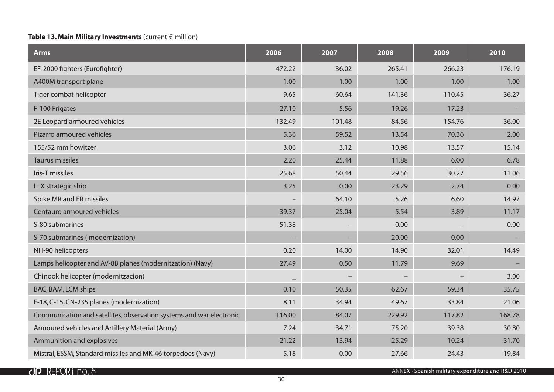| <b>Arms</b>                              | 2006                     | 2007                     | 2008     | 2009     | 2010     |
|------------------------------------------|--------------------------|--------------------------|----------|----------|----------|
| Patriot missiles                         | 14.20                    | $\overline{\phantom{0}}$ | 0.00     | 0.00     |          |
| Lights weapons                           | $\overline{\phantom{m}}$ | $\overline{\phantom{a}}$ | 3.60     | 1.40     |          |
| <b>Estrategical collaboration (NATO)</b> |                          | 8.50                     | 12.16    | 16.25    | 19.09    |
| Infraestructures and facilities          | 120.10                   | 110.46                   | 195.38   | 132.04   | 103.95   |
| Other investments not especified         | 467.24                   | 869.78                   | 385.32   | 289.12   | 329.63   |
| Invesment Autonomous Organisms Defence   | 344.12                   | 364.76                   | 378.08   | 244.79   | 239.21   |
| <b>Total investment</b>                  | 1,903.96                 | 2,018.37                 | 2,103.28 | 1,693.45 | 1,327.88 |
| R&D military Ministry Defence            | 325.88                   | 361.04                   | 355.67   | 312.41   | 231.89   |
| R&D military Ministry Industry           | 1,358.01                 | 1,225.06                 | 1,308.57 | 1,149.92 | 950.91   |
| <b>Total military investment</b>         | 3,587.85                 | 3,604.47                 | 3,767.52 | 3,155.78 | 2,510.68 |

#### Table 14. Initial distribution consolidated Defence Budged<sup>1</sup> (current € million)

| <b>Concepts</b>    | 2001     | 2002     | 2003     | 2004     | 2005     | 2006     | 2007     | 2008     | 2009     | 2010     |
|--------------------|----------|----------|----------|----------|----------|----------|----------|----------|----------|----------|
| <b>Staff</b>       | 3,537.75 | 3,841.60 | 3,926.16 | 4,048.37 | 4,111.09 | 4,428.42 | 4,861.31 | 5,206.30 | 5,326.95 | 5,335.47 |
| Goods and services | 815.56   | 1,200.85 | ,257.04  | 1,330.60 | 430.48.  | 1,475.71 | 1,536.55 | 1,577.45 | 1,577.32 | 1,563.02 |
| Investment         | 1,648.55 | 1,913.43 | ,985.80  | 2,088.93 | 2,199.70 | 2,229.83 | 2,379.41 | 2,454.37 | 2,005.86 | 1,463.26 |

1. The term "consolidated" includes all military concepts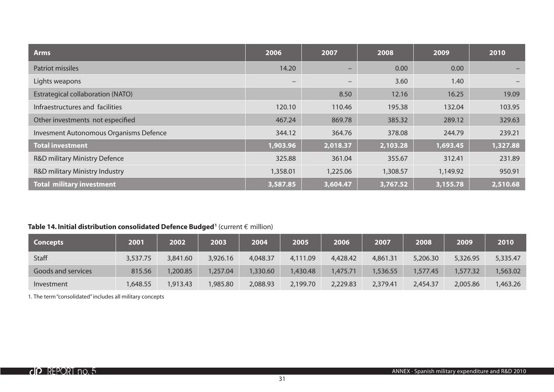

**Graph 4. Distribution initial consolidated military budget**

Source: Spanish General State Budgets By: Pere Ortega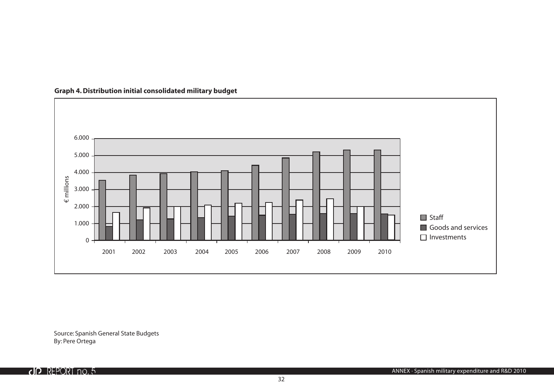**1. REPORT 2007 Spanish Arms Exports 1997-2006** Tica Font

**CENTRE D'ESTUDIS IUSTÍCIA I PAU** PER A LA PAU **JMDELÀS** 

**2. REPORT 2008 Spanish Arms Exports 1998-2007** Tica Font October 2008

June 2008

- **3. REPORT no. 3 Spanish military expenditure 2009** Tica Font October 2008
- **4. REPORT no. 4 Alliance of Barbarities. Afghanistan 2001-2008: 10 Reasons to question (and rethink) foreign involvement** Alejandro Pozo December 2008
- **5. REPORT no. 5 Spanish military expenditure and R&D 2010** Pere Ortega & Xavier Bohigas December 2009

Centre d'Estudis per la Pau JM Delàs

REPORTS

**Justícia i Pau, c/Rivadeneyra 6, 10è · 08002 Barcelona · T. 93 317 61 77 · Fax: 93 412 53 84**

**www.centredelas.org · delas@justiciaipau.org**